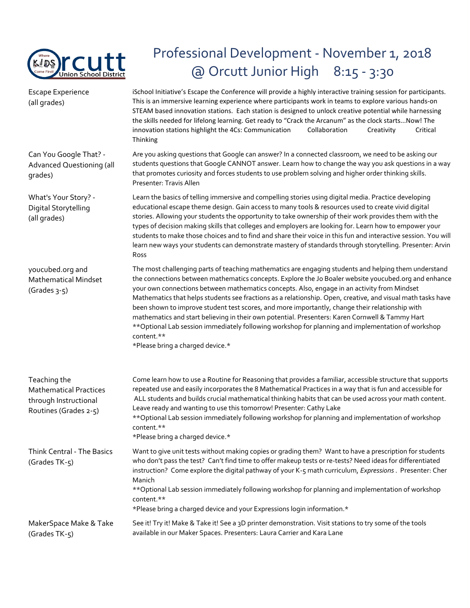

## Professional Development - November 1, 2018 @ Orcutt Junior High 8:15 - 3:30

Escape Experience (all grades) iSchool Initiative's Escape the Conference will provide a highly interactive training session for participants. This is an immersive learning experience where participants work in teams to explore various hands-on STEAM based innovation stations. Each station is designed to unlock creative potential while harnessing the skills needed for lifelong learning. Get ready to "Crack the Arcanum" as the clock starts...Now! The innovation stations highlight the 4Cs: Communication Collaboration Creativity Critical Thinking Can You Google That? - Advanced Questioning (all grades) Are you asking questions that Google can answer? In a connected classroom, we need to be asking our students questions that Google CANNOT answer. Learn how to change the way you ask questions in a way that promotes curiosity and forces students to use problem solving and higher order thinking skills. Presenter: Travis Allen What's Your Story? - Digital Storytelling (all grades) Learn the basics of telling immersive and compelling stories using digital media. Practice developing educational escape theme design. Gain access to many tools & resources used to create vivid digital stories. Allowing your students the opportunity to take ownership of their work provides them with the types of decision making skills that colleges and employers are looking for. Learn how to empower your students to make those choices and to find and share their voice in this fun and interactive session. You will learn new ways your students can demonstrate mastery of standards through storytelling. Presenter: Arvin Ross youcubed.org and Mathematical Mindset (Grades 3-5) The most challenging parts of teaching mathematics are engaging students and helping them understand the connections between mathematics concepts. Explore the Jo Boaler website youcubed.org and enhance your own connections between mathematics concepts. Also, engage in an activity from Mindset Mathematics that helps students see fractions as a relationship. Open, creative, and visual math tasks have been shown to improve student test scores, and more importantly, change their relationship with mathematics and start believing in their own potential. Presenters: Karen Cornwell & Tammy Hart \*\*Optional Lab session immediately following workshop for planning and implementation of workshop content.\*\* \*Please bring a charged device.\* Teaching the Mathematical Practices through Instructional Routines (Grades 2-5) Come learn how to use a Routine for Reasoning that provides a familiar, accessible structure that supports repeated use and easily incorporates the 8 Mathematical Practices in a way that is fun and accessible for ALL students and builds crucial mathematical thinking habits that can be used across your math content. Leave ready and wanting to use this tomorrow! Presenter: Cathy Lake \*\*Optional Lab session immediately following workshop for planning and implementation of workshop content.\*\* \*Please bring a charged device.\* Think Central - The Basics (Grades TK-5) Want to give unit tests without making copies or grading them? Want to have a prescription for students who don't pass the test? Can't find time to offer makeup tests or re-tests? Need ideas for differentiated instruction? Come explore the digital pathway of your K-5 math curriculum, *Expressions*. Presenter: Cher Manich \*\*Optional Lab session immediately following workshop for planning and implementation of workshop content.\*\* \*Please bring a charged device and your Expressions login information.\* MakerSpace Make & Take (Grades TK-5) See it! Try it! Make & Take it! See a 3D printer demonstration. Visit stations to try some of the tools available in our Maker Spaces. Presenters: Laura Carrier and Kara Lane